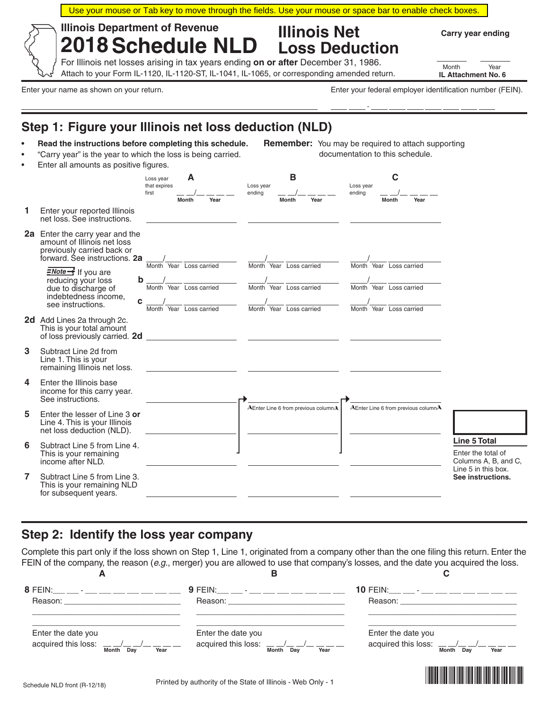| <b>Illinois Department of Revenue</b>                                                                                                                                                                                                                                                                              | <b>2018 Schedule NLD</b>                                                      | <b>Illinois Net</b>                                                                                                                                                               | <b>Loss Deduction</b>                                                         | Carry year ending                                                 |  |
|--------------------------------------------------------------------------------------------------------------------------------------------------------------------------------------------------------------------------------------------------------------------------------------------------------------------|-------------------------------------------------------------------------------|-----------------------------------------------------------------------------------------------------------------------------------------------------------------------------------|-------------------------------------------------------------------------------|-------------------------------------------------------------------|--|
|                                                                                                                                                                                                                                                                                                                    |                                                                               | For Illinois net losses arising in tax years ending on or after December 31, 1986.<br>Attach to your Form IL-1120, IL-1120-ST, IL-1041, IL-1065, or corresponding amended return. |                                                                               | Month<br>Year<br>IL Attachment No. 6                              |  |
| Enter your name as shown on your return.                                                                                                                                                                                                                                                                           |                                                                               |                                                                                                                                                                                   | Enter your federal employer identification number (FEIN).                     |                                                                   |  |
|                                                                                                                                                                                                                                                                                                                    |                                                                               |                                                                                                                                                                                   |                                                                               |                                                                   |  |
| Step 1: Figure your Illinois net loss deduction (NLD)<br>Remember: You may be required to attach supporting<br>Read the instructions before completing this schedule.<br>"Carry year" is the year to which the loss is being carried.<br>documentation to this schedule.<br>Enter all amounts as positive figures. |                                                                               |                                                                                                                                                                                   |                                                                               |                                                                   |  |
|                                                                                                                                                                                                                                                                                                                    | Α<br>Loss year<br>that expires<br>first                                       | в<br>Loss year<br>ending                                                                                                                                                          | С<br>Loss year<br>ending                                                      |                                                                   |  |
| Enter your reported Illinois<br>net loss. See instructions.                                                                                                                                                                                                                                                        | <b>Month</b><br>Year                                                          | <b>Month</b><br>Year                                                                                                                                                              | Month<br>Year                                                                 |                                                                   |  |
| 2a Enter the carry year and the<br>amount of Illinois net loss<br>previously carried back or<br>forward. See instructions. 2a                                                                                                                                                                                      |                                                                               |                                                                                                                                                                                   |                                                                               |                                                                   |  |
| $\frac{Note}{}$ If you are<br>reducing your loss<br>due to discharge of<br>indebtedness income,<br>С<br>see instructions.                                                                                                                                                                                          | Month Year Loss carried<br>Month Year Loss carried<br>Month Year Loss carried | Month Year Loss carried<br>Month Year Loss carried<br>Month Year Loss carried                                                                                                     | Month Year Loss carried<br>Month Year Loss carried<br>Month Year Loss carried |                                                                   |  |
| 2d Add Lines 2a through 2c.<br>This is your total amount<br>of loss previously carried. 2d                                                                                                                                                                                                                         |                                                                               | <u> 1980 - Johann Barn, mars ann an t-Amhain an t-Amhain an t-Amhain an t-Amhain an t-Amhain an t-Amhain an t-Amh</u>                                                             |                                                                               |                                                                   |  |
| Subtract Line 2d from<br>Line 1. This is your<br>remaining Illinois net loss.                                                                                                                                                                                                                                      |                                                                               |                                                                                                                                                                                   |                                                                               |                                                                   |  |
| Enter the Illinois base<br>income for this carry year.<br>See instructions.                                                                                                                                                                                                                                        |                                                                               |                                                                                                                                                                                   |                                                                               |                                                                   |  |
| Enter the lesser of Line 3 or<br>Line 4. This is your Illinois<br>net loss deduction (NLD).                                                                                                                                                                                                                        |                                                                               | AEnter Line 6 from previous columnA                                                                                                                                               | AEnter Line 6 from previous columnA                                           |                                                                   |  |
| Subtract Line 5 from Line 4.<br>This is your remaining<br>income after NLD.                                                                                                                                                                                                                                        |                                                                               |                                                                                                                                                                                   |                                                                               | <b>Line 5 Total</b><br>Enter the total of<br>Columns A, B, and C, |  |
| Subtract Line 5 from Line 3.<br>This is your remaining NLD<br>for subsequent years.                                                                                                                                                                                                                                |                                                                               |                                                                                                                                                                                   |                                                                               | Line 5 in this box.<br>See instructions.                          |  |

## **Step 2: Identify the loss year company**

Complete this part only if the loss shown on Step 1, Line 1, originated from a company other than the one filing this return. Enter the FEIN of the company, the reason (*e.g.*, merger) you are allowed to use that company's losses, and the date you acquired the loss.

| А                                                                                                                                                                                                                                                                                    | в                                                                                                                                                                                                                              |                                                                                                                                                                                                                               |
|--------------------------------------------------------------------------------------------------------------------------------------------------------------------------------------------------------------------------------------------------------------------------------------|--------------------------------------------------------------------------------------------------------------------------------------------------------------------------------------------------------------------------------|-------------------------------------------------------------------------------------------------------------------------------------------------------------------------------------------------------------------------------|
| 8 FEIN:__ __ - __ __ __ __ __ __ __                                                                                                                                                                                                                                                  | 9 FEIN:__ __ - __ __ __ __ __ __ __                                                                                                                                                                                            | 10 FEIN: __ __ - __ __ __ __ __ __ __                                                                                                                                                                                         |
| Reason: The contract of the contract of the contract of the contract of the contract of the contract of the contract of the contract of the contract of the contract of the contract of the contract of the contract of the co                                                       | Reason: The contract of the contract of the contract of the contract of the contract of the contract of the contract of the contract of the contract of the contract of the contract of the contract of the contract of the co | Reason: Network and the second service of the service of the service of the service of the service of the service of the service of the service of the service of the service of the service of the service of the service of |
| Enter the date you                                                                                                                                                                                                                                                                   | Enter the date you                                                                                                                                                                                                             | Enter the date you                                                                                                                                                                                                            |
| acquired this loss: $1.27 - 1.27 - 1.27 - 1.27 - 1.27 - 1.27 - 1.27 - 1.27 - 1.27 - 1.27 - 1.27 - 1.27 - 1.27 - 1.27 - 1.27 - 1.27 - 1.27 - 1.27 - 1.27 - 1.27 - 1.27 - 1.27 - 1.27 - 1.27 - 1.27 - 1.27 - 1.27 - 1.27 - 1.27 - 1.27 - 1.27 - 1.27 - 1.27 - 1.$<br>Month Day<br>Year | acquired this loss: $1/2$ $1/2$ $1/2$ $1/2$ $1/2$<br>Month Day<br>Year                                                                                                                                                         | acquired this loss: $1.44 \pm 1.44 = 1.44$<br>Month Day<br>Year                                                                                                                                                               |
|                                                                                                                                                                                                                                                                                      |                                                                                                                                                                                                                                | <u> I de la provincia de la provincia de la provincia de la provincia de la provincia de la provincia de la provi</u>                                                                                                         |